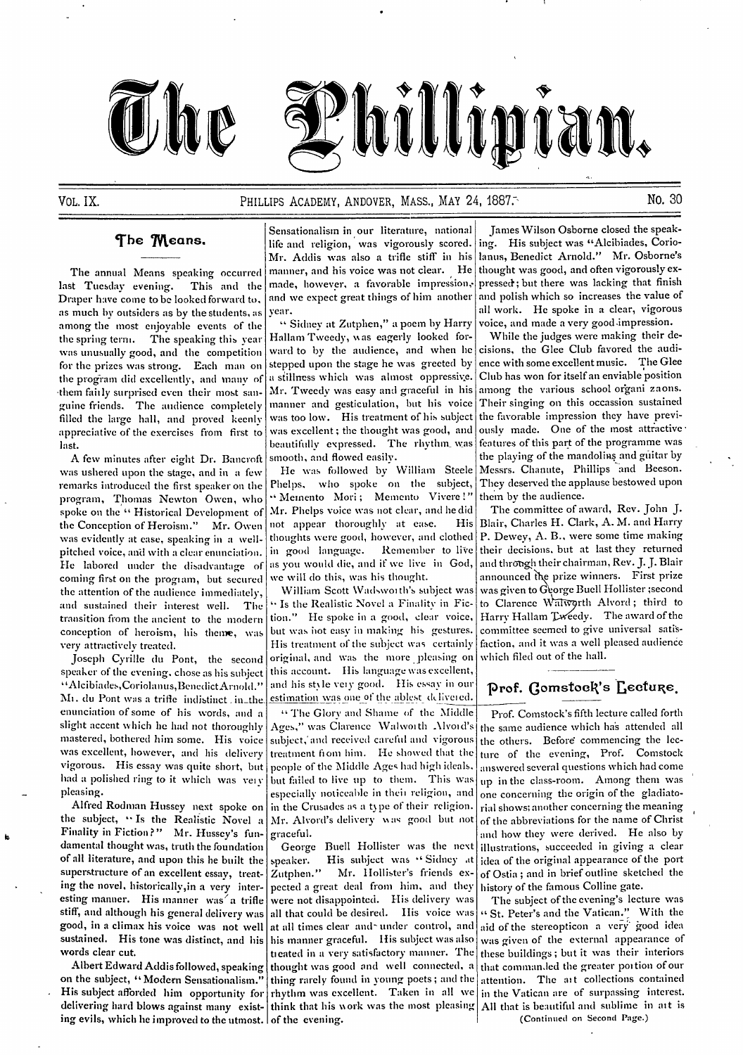

## VOL. **IX.** PHILLIPS ACADEMY, ANDOVER, MASS., MAY 24, **1887:.** NO. 30

Draper have come to be looked forward to, and we expect great things of him another and polish which so increases the value of as much by outsiders as by the students, as year. as much by outsiders as by the students, as year.<br>among the most enjoyable events of the "Sidney at Zutphen," a poem by Harry voice, and made a very good impression. among the most enjoyable events of the " Sidney at Zutphen," a poem by Harry voice, and made a very good impression.<br>the spring term. The speaking this year Hallam Tweedy, was eagerly looked for- While the judges were maki the spring term. The speaking this year Hallam Tweedy, was eagerly looked for- While the judges were making their de-<br>was unusually good, and the competition ward to by the audience, and when he cisions, the Glee Club favo was unusually good, and the competition ward to by the audience, and when he cisions, the Glee Club favored the audi-<br>for the prizes was strong Fach man on stepped upon the stage he was greeted by ence with some excellent for the prizes was strong. Each man on stepped upon the stage he was greeted by ence with some excellent music. The Glee<br>the program did excellently, and many of a stillness which was almost oppressive. Club has won for it the program did excellently, and many of a stillness which was almost oppressive. Club has won for itself an enviable position<br>them fairly surprised even their most san- Mr. Tweedy was easy and graceful in his among the va them faitly surprised even their most san- Mr. Tweedy was easy and graceful in his among the various school organi zaons.<br>guine friends. The audience completely manner and gesticulation, but his voice Their singing on this guine friends. The audience completely manner and gesticulation, but his voice Their singing on this occassion sustained<br>filled the large hall, and proved keenly was too low. His treatment of his subject the favorable impr filled the large hall, and proved keenly was too low. His treatment of his subject the favorable impression they have previ-<br>appreciative of the exercises from first to was excellent; the thought was good, and ously made. appreciative of the exercises from first to was excellent; the thought was good, and ously made. One of the most attractive<br>last, last, and the programme was

A few minutes after eight Dr. Bancroft was ushered upon the stage, and in a few He was followed by William Steele Messrs. Chanute, Phillips and Beeson. coming first on the program, but secured we will do this, was his thought. announced the prize winners. First prize<br>the attention of the audience immediately. William Scott Wadsworth's subject was was given to George Buell the attention of the audience immediately, William Scott Wadsworth's subject was was given to George Buell Hollister ;second<br>and sustained their interest well. The "Is the Realistic Novel a Finality in Fic- to Clarence Wal

speaker of the evening, chose as his subject this account. His language was excellent, "Alcibiades, Coriolanus, Benedict Arnold." and his style very good. His essay in our M<sub>1</sub>. du Pont was a trifle indistinct in the estimation was one of the ablest delivered. enunciation of some of his words, and a <sup>"</sup> The Glory and Shame of the Middle Prof. Comstock's fifth lecture called forth slight accent which he had not thoroughly Ages," was Clarence Walworth Alvord's the same audience wh

ing evils, which he improved to the utmost. of the evening.

Sensationalism in our literature, national James Wilson Osborne closed the speak-The Means. **Internal of the matter of the Means.** If the and religion, was vigorously scored. ing. His subject was "Alcibiades, Corio-Mr. Addis was also a trifle stiff in his lanus, Benedict Arnold." Mr. Osborne's manner, and his voice was not clear. He thought was good, and often vigorously ex-The annual Means speaking occurred manner, and his voice was not clear. He last Tuesday evening. This and the made, however, a favorable impression, This and the made, however, a favorable impression, pressed; but there was lacking that finish shed forward to and we expect great things of him another and polish which so increases the value of

last.<br>A few minutes after eight Dr. Bancroft smooth, and flowed easily.<br>A few minutes after eight Dr. Bancroft smooth, and flowed easily.

remarks introduced the first speaker on the Phelps, who spoke on the subject, They deserved the app<br>program. Thomas Newton Owen, who "Memento Mori; Memento Vivere!" them by the audience. program, Thomas Newton Owen, who "Memento Mori; Memento Vivere!" them by the audience.<br>spoke on the "Historical Development of Mr. Phelps voice was not clear, and he did The committee of award, Rev. John J. spoke on the "Historical Development of Mr. Phelps voice was not clear, and he did The committee of award, Rev. John J.<br>the Conception of Heroism." Mr. Owen not appear thoroughly at ease. His Blair, Charles H. Clark, A. M. the Conception of Heroism." Mr. Owen not appear thoroughly at ease. His Blair, Charles H. Clark, A. M. and Harry<br>was evidently at ease, speaking in a well- thoughts were good, however, and clothed P. Dewey, A. B., were som was evidently at ease, speaking in a well- thoughts were good, however, and clothed P. Dewey, A. B., were some time making<br>pitched voice, and with a clear enunciation. in good language. Remember to live their decisions, bu pitched voice, and with a clear enunciation. in good language. Remember to live their decisions, but at last they returned<br>He labored under the disadvantage of as you would die, and if we live in God, and through their cha He labored under the disadvantage of as you would die, and if we live in God, and through their chairman, Kev. J. J. Blair<br>coming first on the program, but secured we will do this, was his thought.

and sustained their interest well. The "Is the Realistic Novel a Finality in Fic- to Clarence Walworth Alvord; third to<br>transition from the ancient to the modern tion." He spoke in a good, clear voice, Harry Hallam Tweedy. transition from the ancient to the modern tion." He spoke in a good, clear voice, Harry Hallam *Tweedy.* The award of the<br>conception of heroism, his theme, was but was not easy in making his gestures. committee seemed to g conception of heroism, his theme, was but was hot easy in making his gestures. committee seemed to give universal satis-<br>very attractively treated. His treatment of the subject was certainly faction, and it was a well plea very attractively treated. His treatment of the subject was certainly faction, and it was a well pleased and  $\frac{1}{2}$  audience audience audience audience audience audience audience audience audience audience audience audi Joseph Cyrille du Pont, the second original, and was the more pleasing on "Alcibiades, Coriolanus, Benedict Arnold." and his style very good. His essay in our **prof. Gomstock's Lecture.** 

slight accent which he had not thoroughly Ages," was Clarence Walworth Alvord's the same audience which has attended all mastered, bothered him some. His voice subject, and received careful and vigorous the others. Before mastered, bothered him some. His voice subject, and received careful and vigorous the others. Before commencing the lecwas excellent, however, and his delivery treatment fiom him. He showed that the ture of the evening, Prof. Comstock vigorous. His essay was quite short, but people of the Middle Ages had high ideals, answered several quest had a polished ring to it which was very but failed to live up to them. This was up in the class-room. Among them was pleasing. easing.<br>Alfred Rodman Hussey next spoke on in the Crusades as a type of their religion, rial shows; another concerning the meaning Alfred Rodman Hussey next spoke on in the Crusades as a type of their religion. rial shows; another concerning the meaning the subject, "Is the Realistic Novel a Mr. Alvord's delivery was good but not of the abbreviations

of all literature, and upon this he built the speaker. His subject was "Sidney at superstructure of an excellent essay, treat- Zutphen." Mr. Hollister's friends ex-Zutphen." Mr. Hollister's friends ex- of Ostia; and in brief outline sketched the ing the novel, historically, in a very inter- pected a great deal from him, and they history of the famous Colline gate. esting manner. His manner was a trifle were not disappointed. His delivery was The subject of the evening's lecture was stiff, and although his general delivery was all that could be desired. His voice was  $\kappa$  St. Peter thing rarely found in young poets; and the delivering hard blows against many exist- think that his work was the most pleasing All that is beautiful and sublime in att is ing evils, which he improved to the utmost. of the evening.

hillipian.

people of the Middle Ages had high ideals. answered several questions which had come of the abbreviations for the name of Christ Finality in Fiction?" Mr. Hussey's fun- graceful.<br>damental thought was, truth the foundation George Buell Hollister was the next illustrations, succeeded in giving a clear damental thought was, truth the foundation George Buell Hollister was the next illustrations, succeeded in giving a clear of all literature, and upon this he built the speaker. His subject was "Sidney at deta of the origi

stiff, and although his general delivery was all that could be desired. His voice was " St. Peter's and the Vatican." With the good, in a climax his voice was not well at all times clear and under control, and aid of the good, in a climax his voice was not well at all times clear and under control, and aid of the stereopticon a very good idea sustained. His tone was distinct, and his his manner graceful. His subject was also was given of was given of the external appearance of words clear cut.  $t$  tiested in a very satisfactory manner. The these buildings; but it was their interiors Albert Edward Addis followed, speaking thought was good and well connected, a that comman.led the greater portion of our on the subject, "Modern Sensationalism." thing rarely found in young poets; and the attention. The a His subject afforded him opportunity for rhythm was excellent. Taken in all we in the Vatican are of surpassing interest.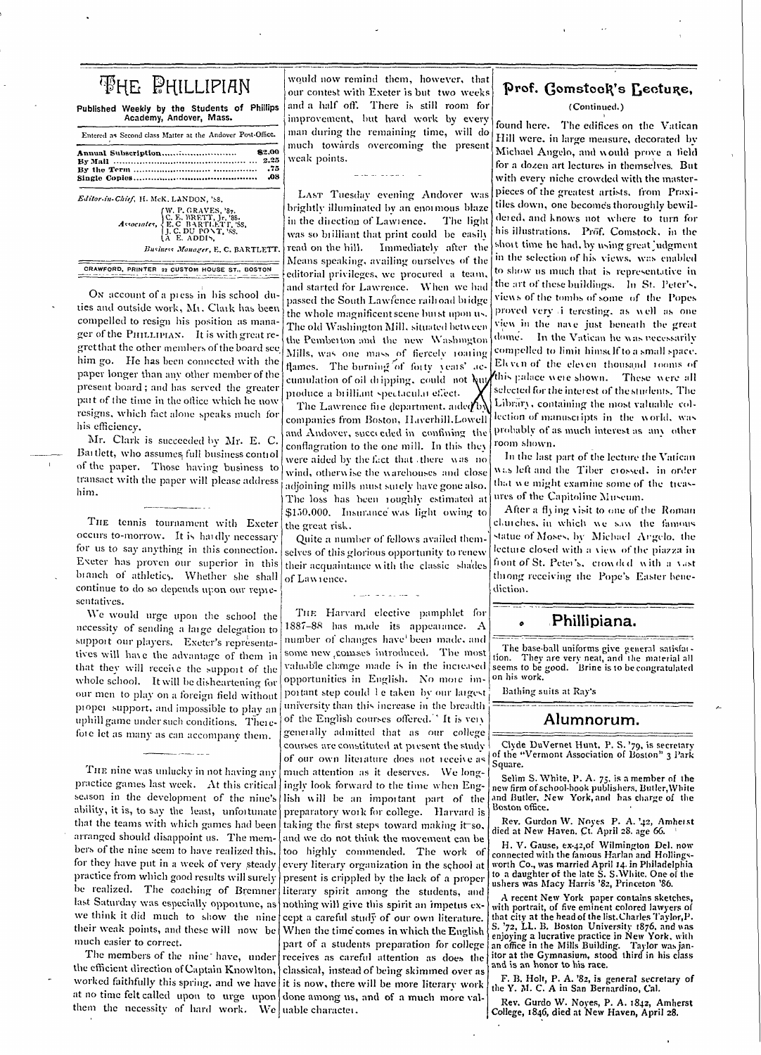| <b>FHE PHILLIPIAN</b>                                                   |
|-------------------------------------------------------------------------|
| Published Weekly by the Students of Phillips<br>Academy, Andover, Mass. |
| Entered as Second class Matter at the Andover Post-Office.              |
| 82.00<br>2.25                                                           |
| .75<br>.08<br>Editor-in-Chief, H. McK, LANDON, '88,                     |

CRAWFORD, PRINTER 22 CUSTOM HOUSE ST., BOSTON

On account of a press in his school duties and outside work, Mr. Clark has been compelled to resign his position as manager of the PHILLIPIAN. It is with great regretthat the other members of the board see him go. He has been connected with the paper longer than any other member of the present board; and has served the greater part of the time in the office which he now resigns, which fact alone speaks much for his efficiency.

Mr. Clark is succeeded by Mr. E. C. Bartlett, who assumes full business control of the paper. Those having business to transact with the paper will please address him.

THE tennis tournament with Exeter occurs to-morrow. It is hardly necessary for us to say anything in this connection. Exeter has proven our superior in this branch of athletics. Whether she shall continue to do so depends upon our representatives.

We would urge upon the school the necessity of sending a large delegation to support our players. Exeter's representatives will have the advantage of them in that they will receive the support of the whole school. It will be disheartening for our men to play on a foreign field without proper support, and impossible to play an uphill game under such conditions. Therefore let as many as can accompany them.

THE nine was unlucky in not having any practice games last week. At this critical season in the development of the nine's ability, it is, to say the least, unfortunate that the teams with which games had been arranged should disappoint us. The members of the nine seem to have realized this, for they have put in a week of very steady practice from which good results will surely be realized. The coaching of Bremner last Saturday was especially opportune, as we think it did much to show the nine their weak points, and these will now be much easier to correct.

The members of the nine have, under the efficient direction of Captain Knowlton, worked faithfully this spring, and we have it is now, there will be more literary work at no time felt called upon to urge upon done among us, and of a much more valthem the necessity of hard work. We uable character.

would now remind them, however, that our contest with Exeter is but two weeks und a half off. There is still room for mprovement, but hard work by every nan during the remaining time, will do nuch towards overcoming the present weak points.

والطامر الرابي المواسي

LAST Tuesday evening Andover was orightly illuminated by an enormous blaze n the direction of Lawrence. The light was so brilliant that print could be easily Immediately after the ead on the hill. Means speaking, availing ourselves of the editorial privileges, we procured a team. and started for Lawrence. When we had passed the South Lawfence railroad bridge the whole magnificent scene burst upon us. The old Washington Mill, situated between the Pemberton and the new Washington Mills, was one mass of fiercely roaring flames. The burning of forty years' accumulation of oil dripping, could not but produce a brilliant spectacular effect.

The Lawrence fire department, ander by companies from Boston, Haverhill.Lowell and Andover, succeeded in confining the conflagration to the one mill. In this they were aided by the fact that there was no wind, otherwise the warehouses and close adjoining mills must surely have gone also. The loss has been roughly estimated at \$150,000. Insurance was light owing to the great risk.

Quite a number of fellows availed themselves of this glorious opportunity to renew their acquaintance with the classic shades of Lawrence.

THE Harvard elective pamphlet for 1887-88 has made its appearance. A number of changes have been made, and some new comses introduced. The most valuable change made is in the increased opportunities in English. No more important step could 1e taken by our largest university than this increase in the breadth of the English courses offered.<sup>14</sup> It is very generally admitted that as our college courses are constituted at present the study of our own literature does not receive as much attention as it deserves. We longingly look forward to the time when English will be an important part of the preparatory work for college. Harvard is taking the first steps toward making it so, and we do not think the movement can be too highly commended. The work of every literary organization in the school at present is crippled by the lack of a proper literary spirit among the students, and nothing will give this spirit an impetus except a careful study of our own literature. When the time comes in which the English part of a students preparation for college receives as careful attention as does the classical, instead of being skimmed over as

# Prof. Gomstock's Lecture,

## (Continued.)

found here. The edifices on the Vatican Hill were, in large measure, decorated by Michael Angelo, and would prove a field for a dozen art lectures in themselves. But with every niche crowded with the masterpieces of the greatest artists. from Praxitiles down, one becomes thoroughly bewildeted, and knows not where to turn for his illustrations. Prof. Comstock, in the short time he had, by using great judgment in the selection of his views, was enabled to show us much that is representative in the art of these buildings. In St. Peter's, views of the tombs of some of the Popes proved very i teresting, as well as one view in the nave just beneath the great dome. In the Vatican he was necessarily compelled to limit himself to a small space. Eleven of the eleven thousand rooms of this palace were shown. These were all selected for the interest of the students. The Library, containing the most valuable collection of manuscripts in the world, was probably of as much interest as any other room shown.

In the last part of the lecture the Vatican was left and the Tiber crossed. in order that we might examine some of the treasures of the Capitoline Museum.

After a flying visit to one of the Roman churches, in which we saw the famous statue of Moses, by Michael Angelo, the lecture closed with a view of the piazza in front of St. Peter's, crowded with a vast throng receiving the Pope's Easter benediction.

## Phillipiana.

The base-ball uniforms give general satisfat-<br>tion. They are very neat, and the material all<br>seems to be good. Brine is to be congratulated on his work.

Bathing suits at Ray's

## Alumnorum.

Clyde DuVernet Hunt, P. S. '79, is secretary<br>of the "Vermont Association of Boston" 3 Park Square.

Selim S. White, P. A. 75, is a member of the<br>new firm of school-book publishers, Butler, White and Butler, New York, and has charge of the Boston office.

Rev. Gurdon W. Noyes P. A. '42, Amherst died at New Haven. Ct. April 28. age 66.

H. V. Gause, ex-42, of Wilmington Del. now connected with the famous Harlan and Hollingsworth Co., was married April 14. in Philadelphia<br>to a daughter of the late S. S. White. One of the<br>ushers was Macy Harris '82, Princeton '86.

A recent New York paper contains sketches with portrait, of five eminent colored lawyers of that city at the head of the list. Charles Taylor, P. S. '72, LL. B. Boston University 1876, and was er per an account vincesity toyo, and was<br>enjoying a lucrative practice in New York, with<br>an office in the Mills Building. Taylor was jan-<br>itor at the Gymnasium, stood third in his class and is an honor to his race.

F. B. Holt, P. A. '82, is general secretary of the Y. M. C. A in San Bernardino, Cal.

Rev. Gurdo W. Noyes, P. A. 1842, Amherst College, 1846, died at New Haven, April 28.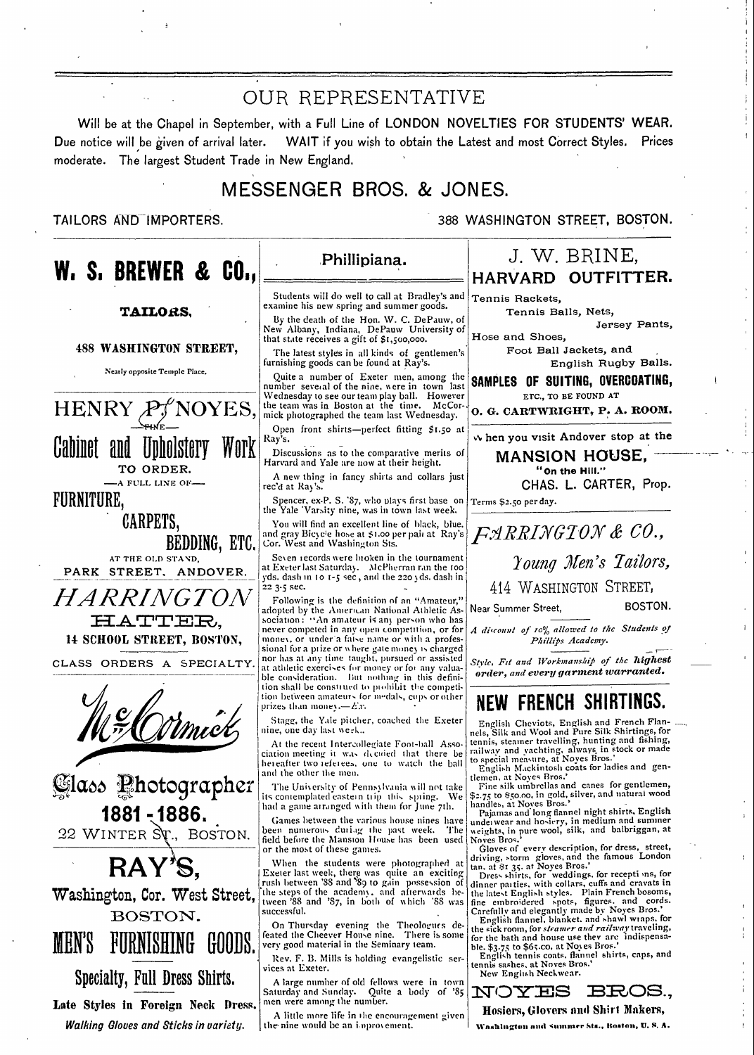